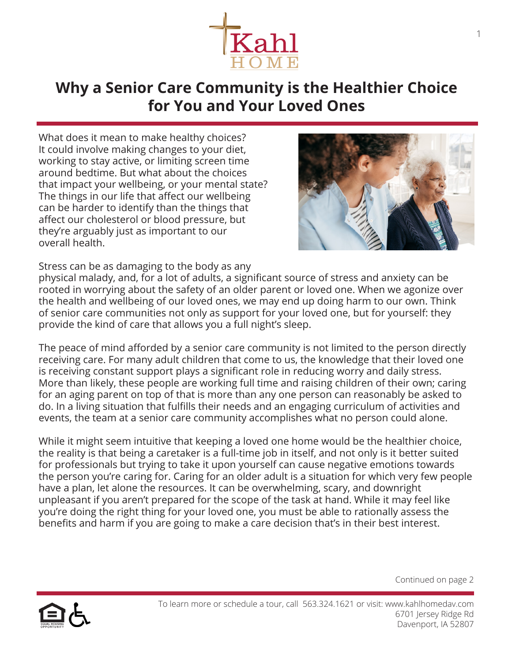

## **Why a Senior Care Community is the Healthier Choice for You and Your Loved Ones**

What does it mean to make healthy choices? It could involve making changes to your diet, working to stay active, or limiting screen time around bedtime. But what about the choices that impact your wellbeing, or your mental state? The things in our life that affect our wellbeing can be harder to identify than the things that affect our cholesterol or blood pressure, but they're arguably just as important to our overall health.



Stress can be as damaging to the body as any

physical malady, and, for a lot of adults, a significant source of stress and anxiety can be rooted in worrying about the safety of an older parent or loved one. When we agonize over the health and wellbeing of our loved ones, we may end up doing harm to our own. Think of senior care communities not only as support for your loved one, but for yourself: they provide the kind of care that allows you a full night's sleep.

The peace of mind afforded by a senior care community is not limited to the person directly receiving care. For many adult children that come to us, the knowledge that their loved one is receiving constant support plays a significant role in reducing worry and daily stress. More than likely, these people are working full time and raising children of their own; caring for an aging parent on top of that is more than any one person can reasonably be asked to do. In a living situation that fulfills their needs and an engaging curriculum of activities and events, the team at a senior care community accomplishes what no person could alone.

While it might seem intuitive that keeping a loved one home would be the healthier choice, the reality is that being a caretaker is a full-time job in itself, and not only is it better suited for professionals but trying to take it upon yourself can cause negative emotions towards the person you're caring for. Caring for an older adult is a situation for which very few people have a plan, let alone the resources. It can be overwhelming, scary, and downright unpleasant if you aren't prepared for the scope of the task at hand. While it may feel like you're doing the right thing for your loved one, you must be able to rationally assess the benefits and harm if you are going to make a care decision that's in their best interest.



To learn more or schedule a tour, call 563.324.1621 or visit: www.kahlhomedav.com 6701 Jersey Ridge Rd Davenport, IA 52807

Continued on page 2